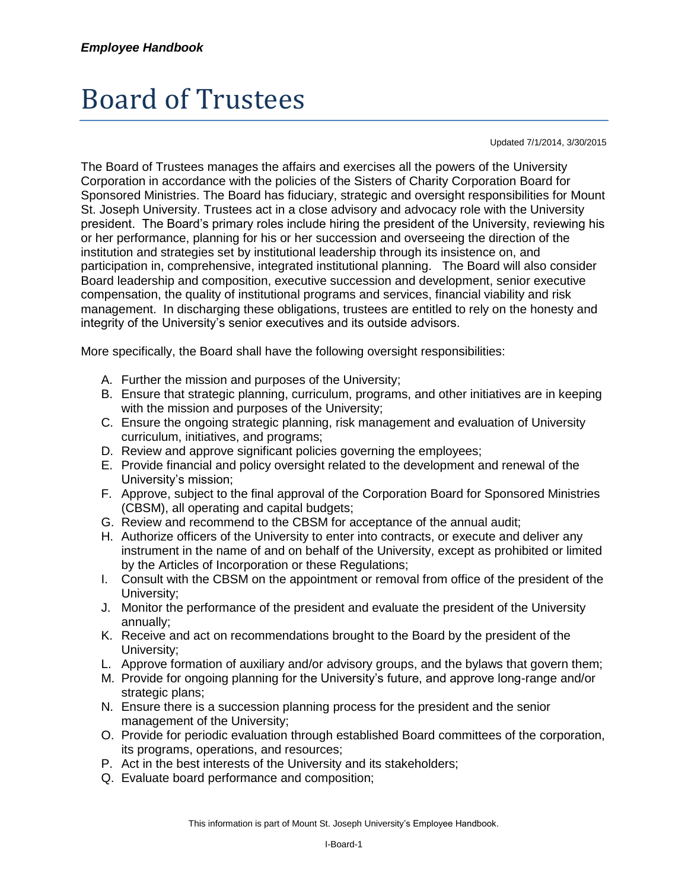## Board of Trustees

Updated 7/1/2014, 3/30/2015

The Board of Trustees manages the affairs and exercises all the powers of the University Corporation in accordance with the policies of the Sisters of Charity Corporation Board for Sponsored Ministries. The Board has fiduciary, strategic and oversight responsibilities for Mount St. Joseph University. Trustees act in a close advisory and advocacy role with the University president. The Board's primary roles include hiring the president of the University, reviewing his or her performance, planning for his or her succession and overseeing the direction of the institution and strategies set by institutional leadership through its insistence on, and participation in, comprehensive, integrated institutional planning. The Board will also consider Board leadership and composition, executive succession and development, senior executive compensation, the quality of institutional programs and services, financial viability and risk management. In discharging these obligations, trustees are entitled to rely on the honesty and integrity of the University's senior executives and its outside advisors.

More specifically, the Board shall have the following oversight responsibilities:

- A. Further the mission and purposes of the University;
- B. Ensure that strategic planning, curriculum, programs, and other initiatives are in keeping with the mission and purposes of the University;
- C. Ensure the ongoing strategic planning, risk management and evaluation of University curriculum, initiatives, and programs;
- D. Review and approve significant policies governing the employees;
- E. Provide financial and policy oversight related to the development and renewal of the University's mission;
- F. Approve, subject to the final approval of the Corporation Board for Sponsored Ministries (CBSM), all operating and capital budgets;
- G. Review and recommend to the CBSM for acceptance of the annual audit;
- H. Authorize officers of the University to enter into contracts, or execute and deliver any instrument in the name of and on behalf of the University, except as prohibited or limited by the Articles of Incorporation or these Regulations;
- I. Consult with the CBSM on the appointment or removal from office of the president of the University;
- J. Monitor the performance of the president and evaluate the president of the University annually;
- K. Receive and act on recommendations brought to the Board by the president of the University;
- L. Approve formation of auxiliary and/or advisory groups, and the bylaws that govern them;
- M. Provide for ongoing planning for the University's future, and approve long-range and/or strategic plans;
- N. Ensure there is a succession planning process for the president and the senior management of the University;
- O. Provide for periodic evaluation through established Board committees of the corporation, its programs, operations, and resources;
- P. Act in the best interests of the University and its stakeholders;
- Q. Evaluate board performance and composition;